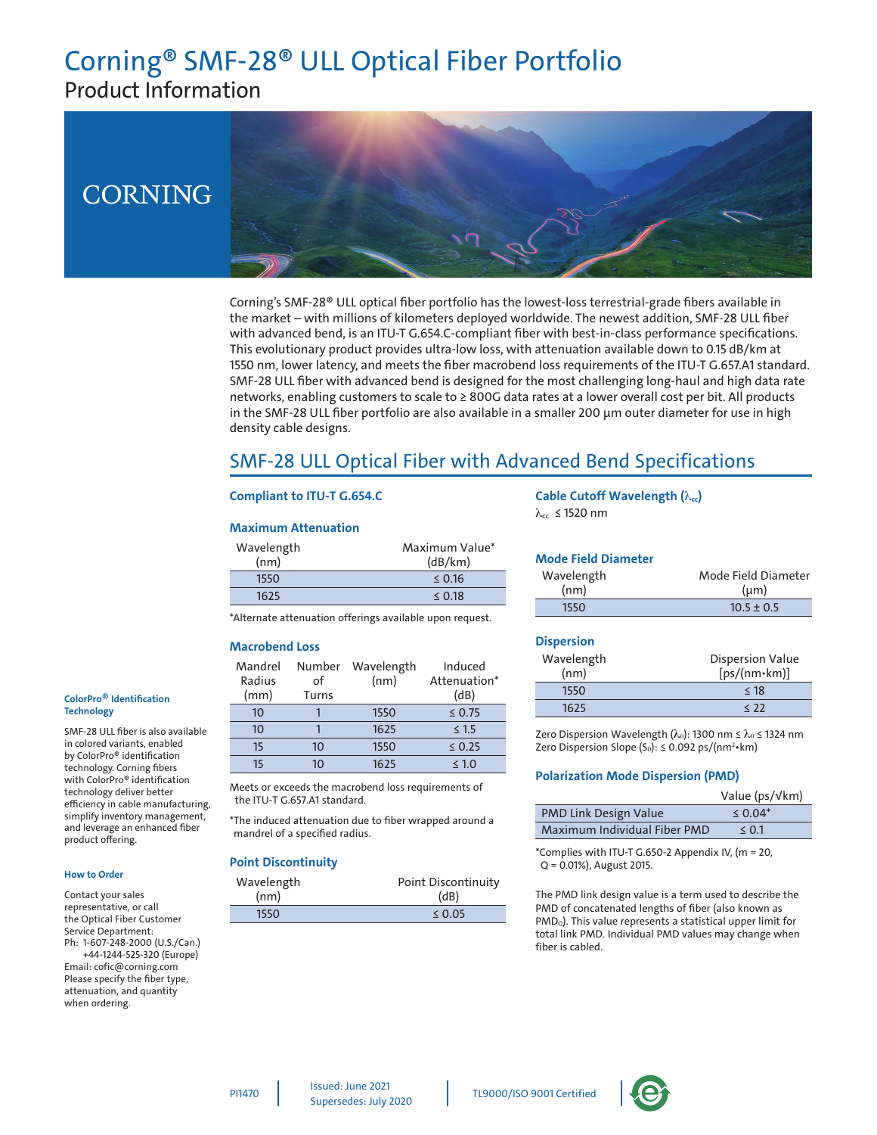# Corning® SMF-28® ULL Optical Fiber Portfolio Product Information

# **CORNING**



Corning's SMF-28® ULL optical fiber portfolio has the lowest-loss terrestrial-grade fibers available in the market – with millions of kilometers deployed worldwide. The newest addition, SMF-28 ULL fiber with advanced bend, is an ITU-T G.654.C-compliant fiber with best-in-class performance specifications. This evolutionary product provides ultra-low loss, with attenuation available down to 0.15 dB/km at 1550 nm, lower latency, and meets the fiber macrobend loss requirements of the ITU-T G.657.A1 standard. SMF-28 ULL fiber with advanced bend is designed for the most challenging long-haul and high data rate networks, enabling customers to scale to ≥ 800G data rates at a lower overall cost per bit. All products in the SMF-28 ULL fiber portfolio are also available in a smaller 200 µm outer diameter for use in high density cable designs.

# SMF-28 ULL Optical Fiber with Advanced Bend Specifications

#### **Compliant to ITU-T G.654.C**

#### **Maximum Attenuation**

| Wavelength<br>(nm) | Maximum Value*<br>(dB/km) |
|--------------------|---------------------------|
| 1550               | $\leq$ 0.16               |
| 1625               | $\leq$ 0.18               |

# **Mode Field Diameter**

**Cable Cutoff Wavelength (** $λ<sub>cc</sub>$ **)** 

| NOUTHER DIAMENT |                     |
|-----------------|---------------------|
| Wavelength      | Mode Field Diameter |
| (nm)            | $(\mu m)$           |
| 1550            | $10.5 \pm 0.5$      |

\*Alternate attenuation offerings available upon request.

#### **Macrobend Loss**

| Mandrel<br>Radius<br>(mm) | Number<br>οf<br>Turns | Wavelength<br>(nm) | Induced<br>Attenuation*<br>(dB) |
|---------------------------|-----------------------|--------------------|---------------------------------|
| 10                        |                       | 1550               | $\leq 0.75$                     |
| 10 <sup>1</sup>           |                       | 1625               | $\leq$ 1.5                      |
| 15                        | 10                    | 1550               | $\leq 0.25$                     |
| 15                        | 10                    | 1625               | $\leq 1.0$                      |

Meets or exceeds the macrobend loss requirements of the ITU-T G.657.A1 standard.

\*The induced attenuation due to fiber wrapped around a mandrel of a specified radius.

#### **Point Discontinuity**

| Wavelength | Point Discontinuity |
|------------|---------------------|
| (nm)       | (dB)                |
| 1550       | 0.05                |

#### **Dispersion**

 $λ<sub>cc</sub>$  ≤ 1520 nm

| Wavelength | <b>Dispersion Value</b> |
|------------|-------------------------|
| (nm)       | $[ps/(nm+km)]$          |
| 1550       | < 18                    |
| 1625       | $\langle$ 22            |

Zero Dispersion Wavelength ( $\lambda_0$ ): 1300 nm  $\leq \lambda_0 \leq$  1324 nm Zero Dispersion Slope (S $_0$ ): ≤ 0.092 ps/(nm²•km)

#### **Polarization Mode Dispersion (PMD)**

|                              | Value ( $ps/\sqrt{km}$ ) |
|------------------------------|--------------------------|
| <b>PMD Link Design Value</b> | $\le 0.04*$              |
| Maximum Individual Fiber PMD | $\leq 0.1$               |

\*Complies with ITU-T G.650-2 Appendix IV, (m = 20, Q = 0.01%), August 2015.

The PMD link design value is a term used to describe the PMD of concatenated lengths of fiber (also known as PMD<sub>Q</sub>). This value represents a statistical upper limit for total link PMD. Individual PMD values may change when fiber is cabled.

#### **ColorPro**® **Identification Technology**

SMF-28 ULL fiber is also available in colored variants, enabled by ColorPro® identification technology. Corning fibers with ColorPro® identification technology deliver better efficiency in cable manufacturing, simplify inventory management, and leverage an enhanced fiber product offering.

#### **How to Order**

Contact your sales representative, or call the Optical Fiber Customer Service Department: Ph: 1-607-248-2000 (U.S./Can.) +44-1244-525-320 (Europe) Email: cofic@corning.com Please specify the fiber type, attenuation, and quantity when ordering.

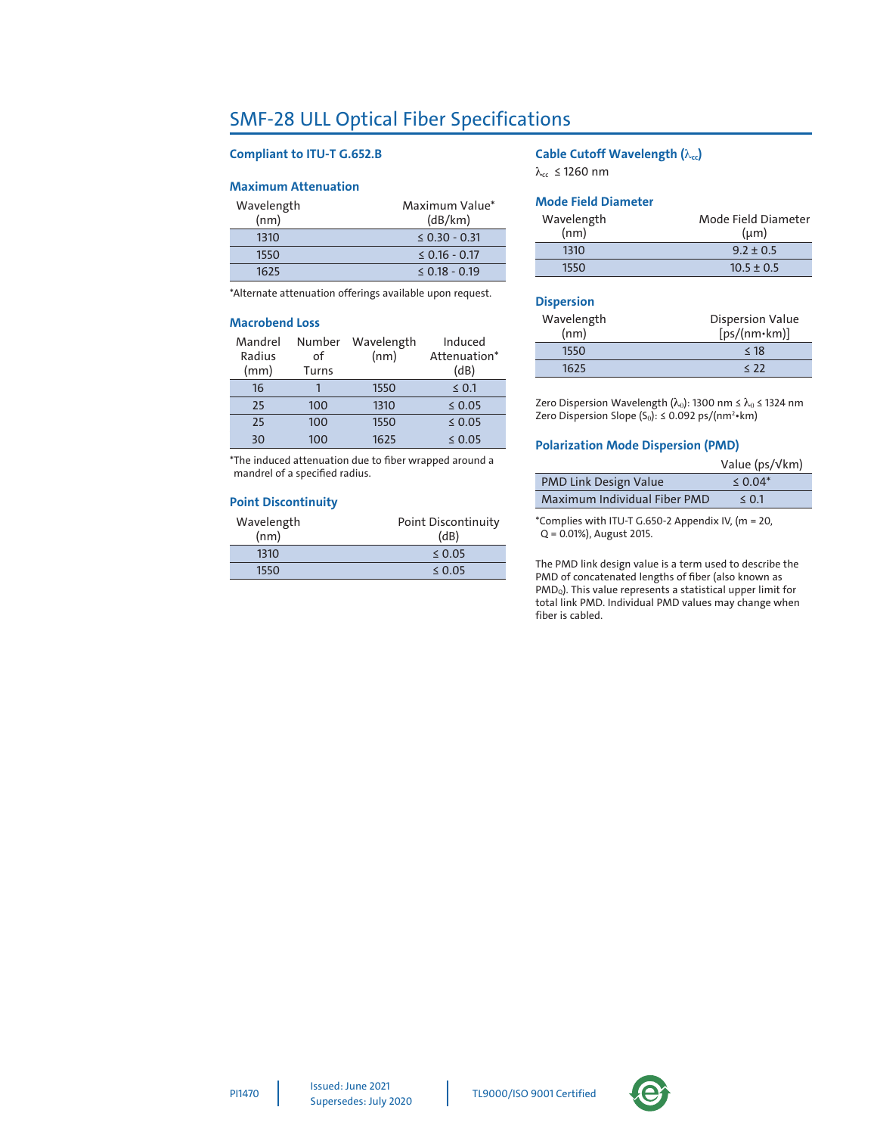## SMF-28 ULL Optical Fiber Specifications

#### **Compliant to ITU-T G.652.B**

#### **Maximum Attenuation**

| Wavelength | Maximum Value*     |
|------------|--------------------|
| (nm)       | (dB/km)            |
| 1310       | $\leq$ 0.30 - 0.31 |
| 1550       | $\leq$ 0.16 - 0.17 |
| 1625       | $< 0.18 - 0.19$    |

\*Alternate attenuation offerings available upon request.

#### **Macrobend Loss**

| Mandrel<br>Radius<br>(mm) | Number<br>οf<br>Turns | Wavelength<br>(nm) | Induced<br>Attenuation*<br>(dB) |
|---------------------------|-----------------------|--------------------|---------------------------------|
| 16                        |                       | 1550               | $\leq 0.1$                      |
| 25                        | 100                   | 1310               | $\leq 0.05$                     |
| 25                        | 100                   | 1550               | $\leq 0.05$                     |
| 30                        | 100                   | 1625               | $\leq 0.05$                     |

\*The induced attenuation due to fiber wrapped around a mandrel of a specified radius.

#### **Point Discontinuity**

| Wavelength<br>(nm) | Point Discontinuity<br>(dB) |
|--------------------|-----------------------------|
| 1310               | $\leq$ 0.05                 |
| 1550               | $\leq$ 0.05                 |

#### **Cable Cutoff Wavelength (** $λ<sub>cc</sub>$ **)**

 $λ_{cc}$  ≤ 1260 nm

#### **Mode Field Diameter**

| Wavelength | Mode Field Diameter |
|------------|---------------------|
| (nm)       | $(\mu m)$           |
| 1310       | $9.2 + 0.5$         |
| 1550       | $10.5 \pm 0.5$      |

#### **Dispersion**

| Wavelength | <b>Dispersion Value</b> |
|------------|-------------------------|
| (nm)       | $[ps/(nm*km)]$          |
| 1550       | < 18                    |
| 1625       | $\langle 22 \rangle$    |

Zero Dispersion Wavelength ( $\lambda_0$ ): 1300 nm  $\leq \lambda_0 \leq$  1324 nm Zero Dispersion Slope (S $_0$ ): ≤ 0.092 ps/(nm²•km)

#### **Polarization Mode Dispersion (PMD)**

|                              | Value ( $ps/\sqrt{km}$ ) |
|------------------------------|--------------------------|
| <b>PMD Link Design Value</b> | $\le 0.04*$              |
| Maximum Individual Fiber PMD | $\le 0.1$                |

\*Complies with ITU-T G.650-2 Appendix IV, (m = 20, Q = 0.01%), August 2015.

The PMD link design value is a term used to describe the PMD of concatenated lengths of fiber (also known as PMD<sub>Q</sub>). This value represents a statistical upper limit for total link PMD. Individual PMD values may change when fiber is cabled.